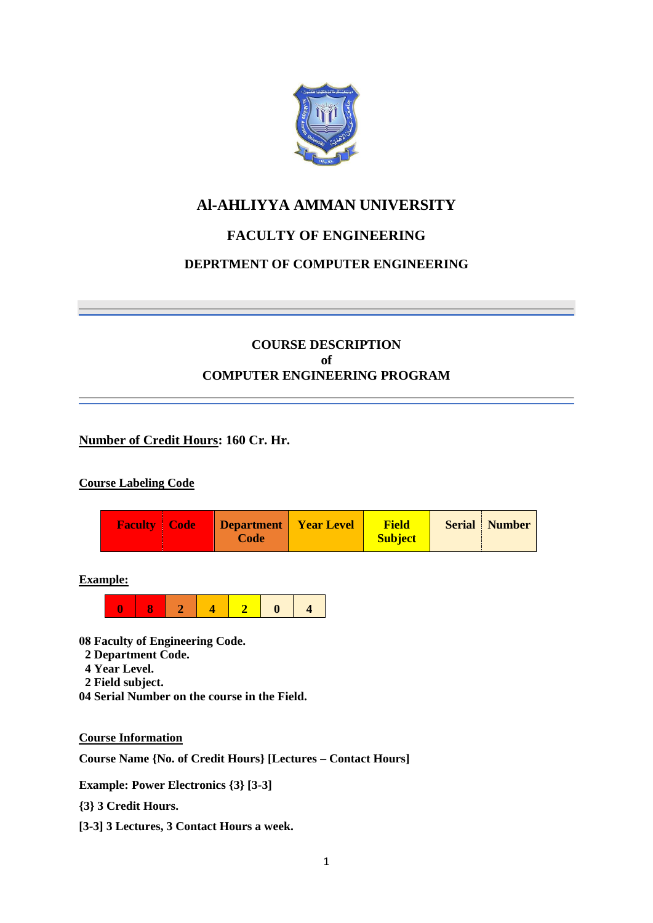

# **Al-AHLIYYA AMMAN UNIVERSITY**

# **FACULTY OF ENGINEERING**

# **DEPRTMENT OF COMPUTER ENGINEERING**

# **COURSE DESCRIPTION of COMPUTER ENGINEERING PROGRAM**

### **Number of Credit Hours: 160 Cr. Hr.**

### **Course Labeling Code**



**Example:**



**08 Faculty of Engineering Code.**

- **2 Department Code.**
- **4 Year Level.**
- **2 Field subject.**
- **04 Serial Number on the course in the Field.**

**Course Information**

**Course Name {No. of Credit Hours} [Lectures – Contact Hours]**

**Example: Power Electronics {3} [3-3]**

**{3} 3 Credit Hours.**

**[3-3] 3 Lectures, 3 Contact Hours a week.**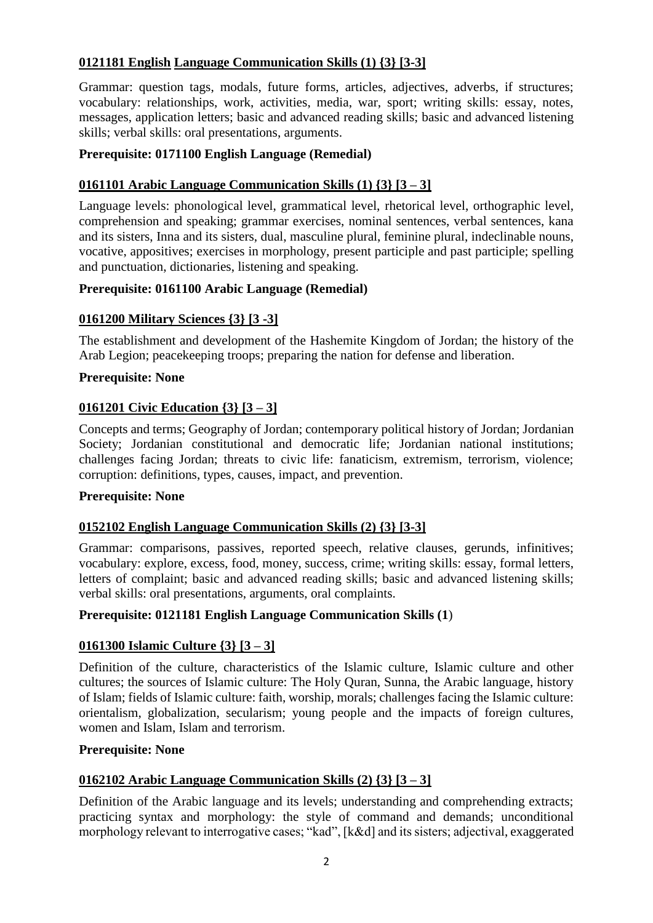# **0121181 English Language Communication Skills (1) {3} [3-3]**

Grammar: question tags, modals, future forms, articles, adjectives, adverbs, if structures; vocabulary: relationships, work, activities, media, war, sport; writing skills: essay, notes, messages, application letters; basic and advanced reading skills; basic and advanced listening skills; verbal skills: oral presentations, arguments.

# **Prerequisite: 0171100 English Language (Remedial)**

# **0161101 Arabic Language Communication Skills (1) {3} [3 – 3]**

Language levels: phonological level, grammatical level, rhetorical level, orthographic level, comprehension and speaking; grammar exercises, nominal sentences, verbal sentences, kana and its sisters, Inna and its sisters, dual, masculine plural, feminine plural, indeclinable nouns, vocative, appositives; exercises in morphology, present participle and past participle; spelling and punctuation, dictionaries, listening and speaking.

### **Prerequisite: 0161100 Arabic Language (Remedial)**

# **0161200 Military Sciences {3} [3 -3]**

The establishment and development of the Hashemite Kingdom of Jordan; the history of the Arab Legion; peacekeeping troops; preparing the nation for defense and liberation.

### **Prerequisite: None**

# **0161201 Civic Education {3} [3 – 3]**

Concepts and terms; Geography of Jordan; contemporary political history of Jordan; Jordanian Society; Jordanian constitutional and democratic life; Jordanian national institutions; challenges facing Jordan; threats to civic life: fanaticism, extremism, terrorism, violence; corruption: definitions, types, causes, impact, and prevention.

### **Prerequisite: None**

### **0152102 English Language Communication Skills (2) {3} [3-3]**

Grammar: comparisons, passives, reported speech, relative clauses, gerunds, infinitives; vocabulary: explore, excess, food, money, success, crime; writing skills: essay, formal letters, letters of complaint; basic and advanced reading skills; basic and advanced listening skills; verbal skills: oral presentations, arguments, oral complaints.

### **Prerequisite: 0121181 English Language Communication Skills (1**)

### **0161300 Islamic Culture {3} [3 – 3]**

Definition of the culture, characteristics of the Islamic culture, Islamic culture and other cultures; the sources of Islamic culture: The Holy Quran, Sunna, the Arabic language, history of Islam; fields of Islamic culture: faith, worship, morals; challenges facing the Islamic culture: orientalism, globalization, secularism; young people and the impacts of foreign cultures, women and Islam, Islam and terrorism.

### **Prerequisite: None**

### **0162102 Arabic Language Communication Skills (2) {3} [3 – 3]**

Definition of the Arabic language and its levels; understanding and comprehending extracts; practicing syntax and morphology: the style of command and demands; unconditional morphology relevant to interrogative cases; "kad", [k&d] and its sisters; adjectival, exaggerated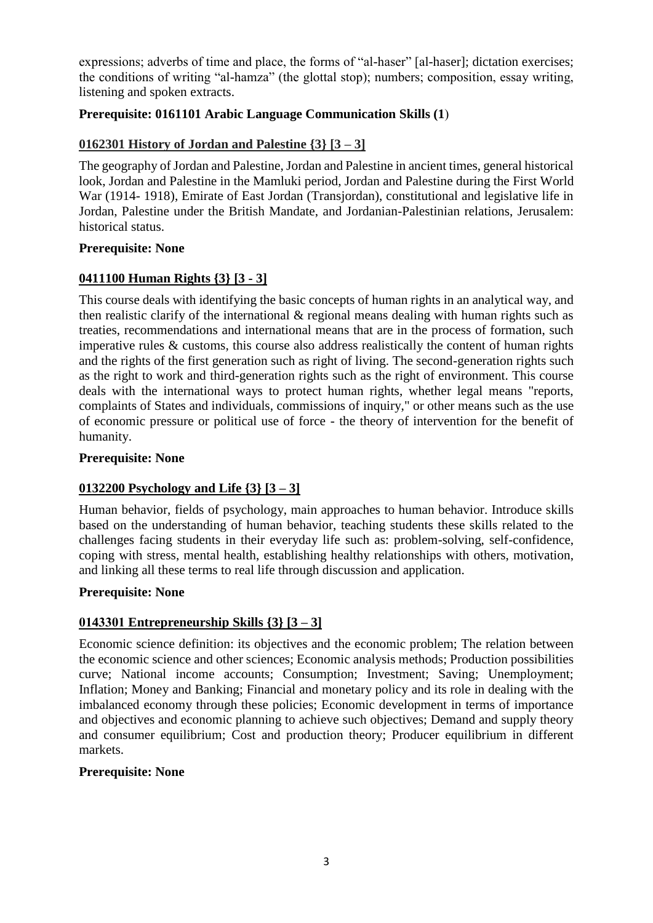expressions; adverbs of time and place, the forms of "al-haser" [al-haser]; dictation exercises; the conditions of writing "al-hamza" (the glottal stop); numbers; composition, essay writing, listening and spoken extracts.

# **Prerequisite: 0161101 Arabic Language Communication Skills (1)**

# **0162301 History of Jordan and Palestine {3} [3 – 3]**

The geography of Jordan and Palestine, Jordan and Palestine in ancient times, general historical look, Jordan and Palestine in the Mamluki period, Jordan and Palestine during the First World War (1914- 1918), Emirate of East Jordan (Transjordan), constitutional and legislative life in Jordan, Palestine under the British Mandate, and Jordanian-Palestinian relations, Jerusalem: historical status.

#### **Prerequisite: None**

### **0411100 Human Rights {3} [3 - 3]**

This course deals with identifying the basic concepts of human rights in an analytical way, and then realistic clarify of the international  $\&$  regional means dealing with human rights such as treaties, recommendations and international means that are in the process of formation, such imperative rules & customs, this course also address realistically the content of human rights and the rights of the first generation such as right of living. The second-generation rights such as the right to work and third-generation rights such as the right of environment. This course deals with the international ways to protect human rights, whether legal means "reports, complaints of States and individuals, commissions of inquiry," or other means such as the use of economic pressure or political use of force - the theory of intervention for the benefit of humanity.

#### **Prerequisite: None**

### **0132200 Psychology and Life {3} [3 – 3]**

Human behavior, fields of psychology, main approaches to human behavior. Introduce skills based on the understanding of human behavior, teaching students these skills related to the challenges facing students in their everyday life such as: problem-solving, self-confidence, coping with stress, mental health, establishing healthy relationships with others, motivation, and linking all these terms to real life through discussion and application.

### **Prerequisite: None**

### **0143301 Entrepreneurship Skills {3} [3 – 3]**

Economic science definition: its objectives and the economic problem; The relation between the economic science and other sciences; Economic analysis methods; Production possibilities curve; National income accounts; Consumption; Investment; Saving; Unemployment; Inflation; Money and Banking; Financial and monetary policy and its role in dealing with the imbalanced economy through these policies; Economic development in terms of importance and objectives and economic planning to achieve such objectives; Demand and supply theory and consumer equilibrium; Cost and production theory; Producer equilibrium in different markets.

#### **Prerequisite: None**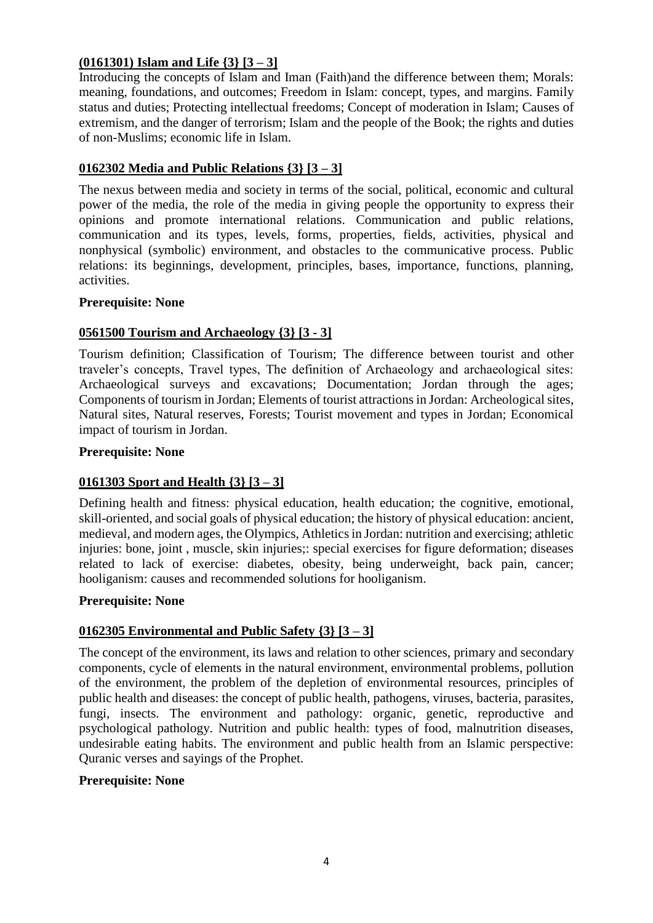# **(0161301) Islam and Life {3} [3 – 3]**

Introducing the concepts of Islam and Iman (Faith)and the difference between them; Morals: meaning, foundations, and outcomes; Freedom in Islam: concept, types, and margins. Family status and duties; Protecting intellectual freedoms; Concept of moderation in Islam; Causes of extremism, and the danger of terrorism; Islam and the people of the Book; the rights and duties of non-Muslims; economic life in Islam.

# **0162302 Media and Public Relations {3} [3 – 3]**

The nexus between media and society in terms of the social, political, economic and cultural power of the media, the role of the media in giving people the opportunity to express their opinions and promote international relations. Communication and public relations, communication and its types, levels, forms, properties, fields, activities, physical and nonphysical (symbolic) environment, and obstacles to the communicative process. Public relations: its beginnings, development, principles, bases, importance, functions, planning, activities.

#### **Prerequisite: None**

# **0561500 Tourism and Archaeology {3} [3 - 3]**

Tourism definition; Classification of Tourism; The difference between tourist and other traveler's concepts, Travel types, The definition of Archaeology and archaeological sites: Archaeological surveys and excavations; Documentation; Jordan through the ages; Components of tourism in Jordan; Elements of tourist attractions in Jordan: Archeological sites, Natural sites, Natural reserves, Forests; Tourist movement and types in Jordan; Economical impact of tourism in Jordan.

#### **Prerequisite: None**

### **0161303 Sport and Health {3} [3 – 3]**

Defining health and fitness: physical education, health education; the cognitive, emotional, skill-oriented, and social goals of physical education; the history of physical education: ancient, medieval, and modern ages, the Olympics, Athletics in Jordan: nutrition and exercising; athletic injuries: bone, joint , muscle, skin injuries;: special exercises for figure deformation; diseases related to lack of exercise: diabetes, obesity, being underweight, back pain, cancer; hooliganism: causes and recommended solutions for hooliganism.

### **Prerequisite: None**

# **0162305 Environmental and Public Safety {3} [3 – 3]**

The concept of the environment, its laws and relation to other sciences, primary and secondary components, cycle of elements in the natural environment, environmental problems, pollution of the environment, the problem of the depletion of environmental resources, principles of public health and diseases: the concept of public health, pathogens, viruses, bacteria, parasites, fungi, insects. The environment and pathology: organic, genetic, reproductive and psychological pathology. Nutrition and public health: types of food, malnutrition diseases, undesirable eating habits. The environment and public health from an Islamic perspective: Quranic verses and sayings of the Prophet.

### **Prerequisite: None**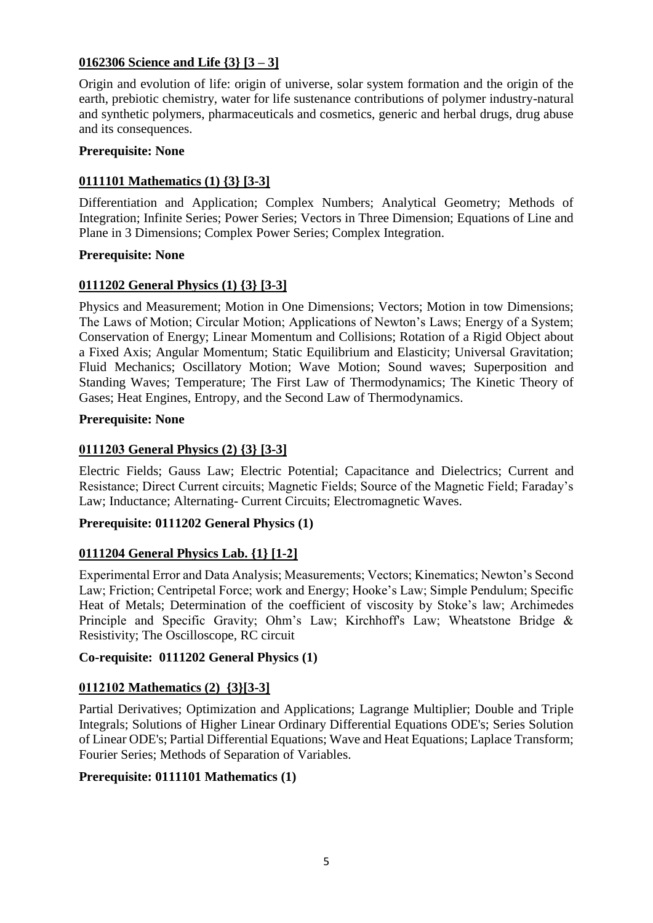# **0162306 Science and Life {3} [3 – 3]**

Origin and evolution of life: origin of universe, solar system formation and the origin of the earth, prebiotic chemistry, water for life sustenance contributions of polymer industry-natural and synthetic polymers, pharmaceuticals and cosmetics, generic and herbal drugs, drug abuse and its consequences.

#### **Prerequisite: None**

### **0111101 Mathematics (1) {3} [3-3]**

Differentiation and Application; Complex Numbers; Analytical Geometry; Methods of Integration; Infinite Series; Power Series; Vectors in Three Dimension; Equations of Line and Plane in 3 Dimensions; Complex Power Series; Complex Integration.

#### **Prerequisite: None**

# **0111202 General Physics (1) {3} [3-3]**

Physics and Measurement; Motion in One Dimensions; Vectors; Motion in tow Dimensions; The Laws of Motion; Circular Motion; Applications of Newton's Laws; Energy of a System; Conservation of Energy; Linear Momentum and Collisions; Rotation of a Rigid Object about a Fixed Axis; Angular Momentum; Static Equilibrium and Elasticity; Universal Gravitation; Fluid Mechanics; Oscillatory Motion; Wave Motion; Sound waves; Superposition and Standing Waves; Temperature; The First Law of Thermodynamics; The Kinetic Theory of Gases; Heat Engines, Entropy, and the Second Law of Thermodynamics.

#### **Prerequisite: None**

### **0111203 General Physics (2) {3} [3-3]**

Electric Fields; Gauss Law; Electric Potential; Capacitance and Dielectrics; Current and Resistance; Direct Current circuits; Magnetic Fields; Source of the Magnetic Field; Faraday's Law; Inductance; Alternating- Current Circuits; Electromagnetic Waves.

### **Prerequisite: 0111202 General Physics (1)**

### **0111204 General Physics Lab. {1} [1-2]**

Experimental Error and Data Analysis; Measurements; Vectors; Kinematics; Newton's Second Law; Friction; Centripetal Force; work and Energy; Hooke's Law; Simple Pendulum; Specific Heat of Metals; Determination of the coefficient of viscosity by Stoke's law; Archimedes Principle and Specific Gravity; Ohm's Law; Kirchhoff's Law; Wheatstone Bridge & Resistivity; The Oscilloscope, RC circuit

## **Co-requisite: 0111202 General Physics (1)**

### **0112102 Mathematics (2) {3}[3-3]**

Partial Derivatives; Optimization and Applications; Lagrange Multiplier; Double and Triple Integrals; Solutions of Higher Linear Ordinary Differential Equations ODE's; Series Solution of Linear ODE's; Partial Differential Equations; Wave and Heat Equations; Laplace Transform; Fourier Series; Methods of Separation of Variables.

### **Prerequisite: 0111101 Mathematics (1)**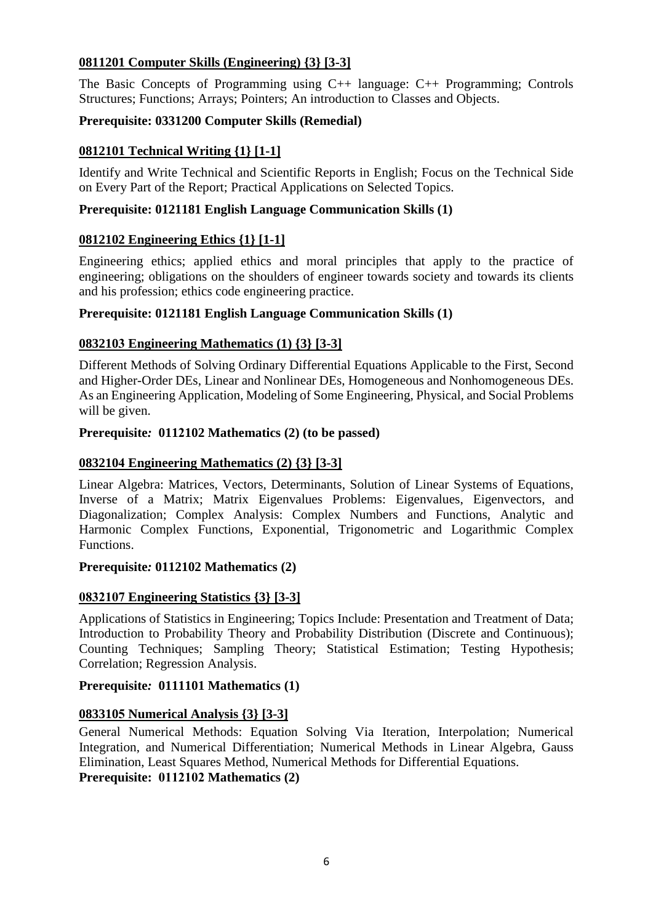# **0811201 Computer Skills (Engineering) {3} [3-3]**

The Basic Concepts of Programming using C++ language: C++ Programming; Controls Structures; Functions; Arrays; Pointers; An introduction to Classes and Objects.

# **Prerequisite: 0331200 Computer Skills (Remedial)**

# **0812101 Technical Writing {1} [1-1]**

Identify and Write Technical and Scientific Reports in English; Focus on the Technical Side on Every Part of the Report; Practical Applications on Selected Topics.

## **Prerequisite: 0121181 English Language Communication Skills (1)**

# **0812102 Engineering Ethics {1} [1-1]**

Engineering ethics; applied ethics and moral principles that apply to the practice of engineering; obligations on the shoulders of engineer towards society and towards its clients and his profession; ethics code engineering practice.

# **Prerequisite: 0121181 English Language Communication Skills (1)**

# **0832103 Engineering Mathematics (1) {3} [3-3]**

Different Methods of Solving Ordinary Differential Equations Applicable to the First, Second and Higher-Order DEs, Linear and Nonlinear DEs, Homogeneous and Nonhomogeneous DEs. As an Engineering Application, Modeling of Some Engineering, Physical, and Social Problems will be given.

### **Prerequisite***:* **0112102 Mathematics (2) (to be passed)**

### **0832104 Engineering Mathematics (2) {3} [3-3]**

Linear Algebra: Matrices, Vectors, Determinants, Solution of Linear Systems of Equations, Inverse of a Matrix; Matrix Eigenvalues Problems: Eigenvalues, Eigenvectors, and Diagonalization; Complex Analysis: Complex Numbers and Functions, Analytic and Harmonic Complex Functions, Exponential, Trigonometric and Logarithmic Complex Functions.

#### **Prerequisite***:* **0112102 Mathematics (2)**

### **0832107 Engineering Statistics {3} [3-3]**

Applications of Statistics in Engineering; Topics Include: Presentation and Treatment of Data; Introduction to Probability Theory and Probability Distribution (Discrete and Continuous); Counting Techniques; Sampling Theory; Statistical Estimation; Testing Hypothesis; Correlation; Regression Analysis.

### **Prerequisite***:* **0111101 Mathematics (1)**

### **0833105 Numerical Analysis {3} [3-3]**

General Numerical Methods: Equation Solving Via Iteration, Interpolation; Numerical Integration, and Numerical Differentiation; Numerical Methods in Linear Algebra, Gauss Elimination, Least Squares Method, Numerical Methods for Differential Equations. **Prerequisite: 0112102 Mathematics (2)**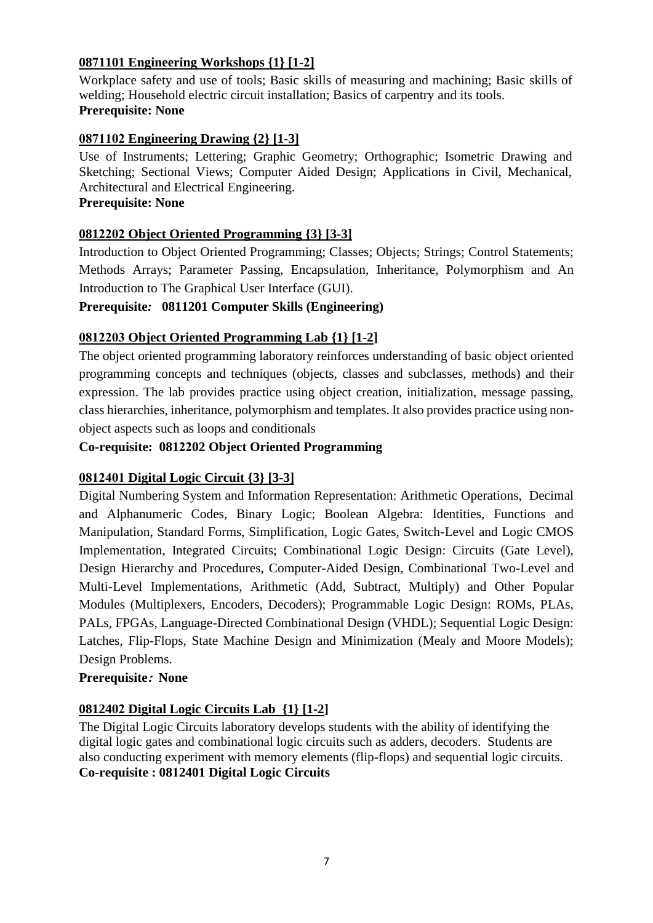# **0871101 Engineering Workshops {1} [1-2]**

Workplace safety and use of tools; Basic skills of measuring and machining; Basic skills of welding; Household electric circuit installation; Basics of carpentry and its tools. **Prerequisite: None**

# **0871102 Engineering Drawing {2} [1-3]**

Use of Instruments; Lettering; Graphic Geometry; Orthographic; Isometric Drawing and Sketching; Sectional Views; Computer Aided Design; Applications in Civil, Mechanical, Architectural and Electrical Engineering.

# **Prerequisite: None**

# **0812202 Object Oriented Programming {3} [3-3]**

Introduction to Object Oriented Programming; Classes; Objects; Strings; Control Statements; Methods Arrays; Parameter Passing, Encapsulation, Inheritance, Polymorphism and An Introduction to The Graphical User Interface (GUI).

### **Prerequisite***:* **0811201 Computer Skills (Engineering)**

# **0812203 Object Oriented Programming Lab {1} [1-2]**

The object oriented programming laboratory reinforces understanding of basic object oriented programming concepts and techniques (objects, classes and subclasses, methods) and their expression. The lab provides practice using object creation, initialization, message passing, class hierarchies, inheritance, polymorphism and templates. It also provides practice using nonobject aspects such as loops and conditionals

### **Co-requisite: 0812202 Object Oriented Programming**

### **0812401 Digital Logic Circuit {3} [3-3]**

Digital Numbering System and Information Representation: Arithmetic Operations, Decimal and Alphanumeric Codes, Binary Logic; Boolean Algebra: Identities, Functions and Manipulation, Standard Forms, Simplification, Logic Gates, Switch-Level and Logic CMOS Implementation, Integrated Circuits; Combinational Logic Design: Circuits (Gate Level), Design Hierarchy and Procedures, Computer-Aided Design, Combinational Two-Level and Multi-Level Implementations, Arithmetic (Add, Subtract, Multiply) and Other Popular Modules (Multiplexers, Encoders, Decoders); Programmable Logic Design: ROMs, PLAs, PALs, FPGAs, Language-Directed Combinational Design (VHDL); Sequential Logic Design: Latches, Flip-Flops, State Machine Design and Minimization (Mealy and Moore Models); Design Problems.

### **Prerequisite: None**

### **0812402 Digital Logic Circuits Lab {1} [1-2]**

The Digital Logic Circuits laboratory develops students with the ability of identifying the digital logic gates and combinational logic circuits such as adders, decoders. Students are also conducting experiment with memory elements (flip-flops) and sequential logic circuits. **Co-requisite : 0812401 Digital Logic Circuits**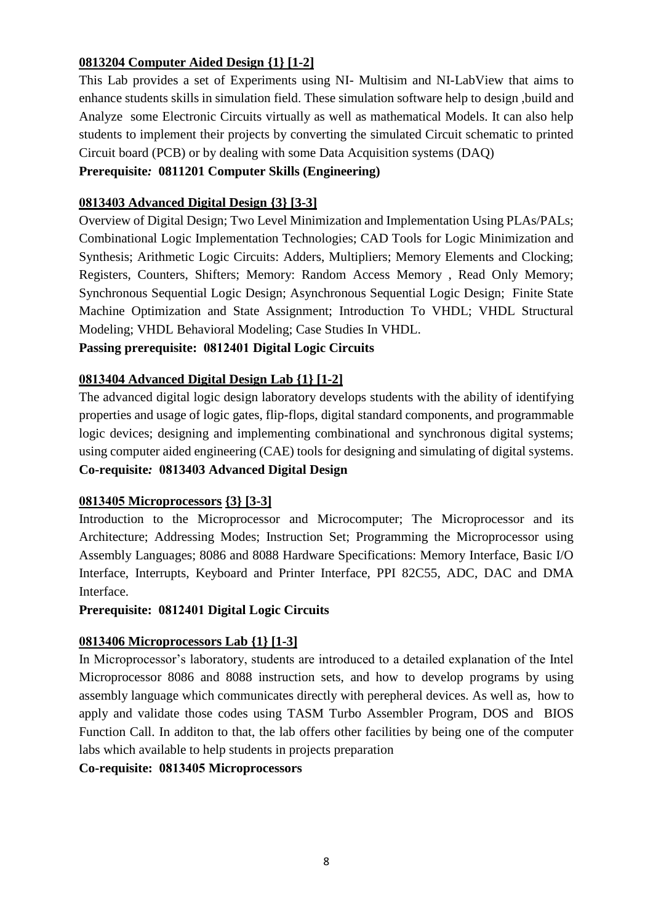# **0813204 Computer Aided Design {1} [1-2]**

This Lab provides a set of Experiments using NI- Multisim and NI-LabView that aims to enhance students skills in simulation field. These simulation software help to design ,build and Analyze some Electronic Circuits virtually as well as mathematical Models. It can also help students to implement their projects by converting the simulated Circuit schematic to printed Circuit board (PCB) or by dealing with some Data Acquisition systems (DAQ)

## **Prerequisite***:* **0811201 Computer Skills (Engineering)**

## **0813403 Advanced Digital Design {3} [3-3]**

Overview of Digital Design; Two Level Minimization and Implementation Using PLAs/PALs; Combinational Logic Implementation Technologies; CAD Tools for Logic Minimization and Synthesis; Arithmetic Logic Circuits: Adders, Multipliers; Memory Elements and Clocking; Registers, Counters, Shifters; Memory: Random Access Memory , Read Only Memory; Synchronous Sequential Logic Design; Asynchronous Sequential Logic Design; Finite State Machine Optimization and State Assignment; Introduction To VHDL; VHDL Structural Modeling; VHDL Behavioral Modeling; Case Studies In VHDL.

# **Passing prerequisite: 0812401 Digital Logic Circuits**

### **0813404 Advanced Digital Design Lab {1} [1-2]**

The advanced digital logic design laboratory develops students with the ability of identifying properties and usage of logic gates, flip-flops, digital standard components, and programmable logic devices; designing and implementing combinational and synchronous digital systems; using computer aided engineering (CAE) tools for designing and simulating of digital systems. **Co-requisite***:* **0813403 Advanced Digital Design**

### **0813405 Microprocessors {3} [3-3]**

Introduction to the Microprocessor and Microcomputer; The Microprocessor and its Architecture; Addressing Modes; Instruction Set; Programming the Microprocessor using Assembly Languages; 8086 and 8088 Hardware Specifications: Memory Interface, Basic I/O Interface, Interrupts, Keyboard and Printer Interface, PPI 82C55, ADC, DAC and DMA Interface.

### **Prerequisite: 0812401 Digital Logic Circuits**

### **0813406 Microprocessors Lab {1} [1-3]**

In Microprocessor's laboratory, students are introduced to a detailed explanation of the Intel Microprocessor 8086 and 8088 instruction sets, and how to develop programs by using assembly language which communicates directly with perepheral devices. As well as, how to apply and validate those codes using TASM Turbo Assembler Program, DOS and BIOS Function Call. In additon to that, the lab offers other facilities by being one of the computer labs which available to help students in projects preparation

**Co-requisite: 0813405 Microprocessors**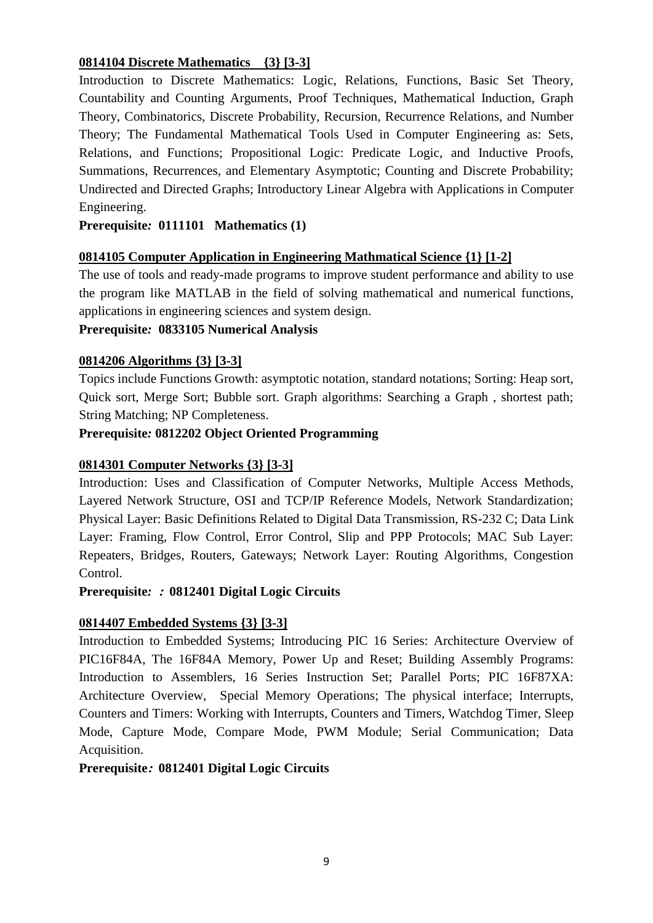# **0814104 Discrete Mathematics {3} [3-3]**

Introduction to Discrete Mathematics: Logic, Relations, Functions, Basic Set Theory, Countability and Counting Arguments, Proof Techniques, Mathematical Induction, Graph Theory, Combinatorics, Discrete Probability, Recursion, Recurrence Relations, and Number Theory; The Fundamental Mathematical Tools Used in Computer Engineering as: Sets, Relations, and Functions; Propositional Logic: Predicate Logic, and Inductive Proofs, Summations, Recurrences, and Elementary Asymptotic; Counting and Discrete Probability; Undirected and Directed Graphs; Introductory Linear Algebra with Applications in Computer Engineering.

## **Prerequisite***:* **0111101 Mathematics (1)**

### **0814105 Computer Application in Engineering Mathmatical Science {1} [1-2]**

The use of tools and ready-made programs to improve student performance and ability to use the program like MATLAB in the field of solving mathematical and numerical functions, applications in engineering sciences and system design.

#### **Prerequisite***:* **0833105 Numerical Analysis**

#### **0814206 Algorithms {3} [3-3]**

Topics include Functions Growth: asymptotic notation, standard notations; Sorting: Heap sort, Quick sort, Merge Sort; Bubble sort. Graph algorithms: Searching a Graph , shortest path; String Matching; NP Completeness.

#### **Prerequisite***:* **0812202 Object Oriented Programming**

#### **0814301 Computer Networks {3} [3-3]**

Introduction: Uses and Classification of Computer Networks, Multiple Access Methods, Layered Network Structure, OSI and TCP/IP Reference Models, Network Standardization; Physical Layer: Basic Definitions Related to Digital Data Transmission, RS-232 C; Data Link Layer: Framing, Flow Control, Error Control, Slip and PPP Protocols; MAC Sub Layer: Repeaters, Bridges, Routers, Gateways; Network Layer: Routing Algorithms, Congestion Control.

#### **Prerequisite***:* **: 0812401 Digital Logic Circuits**

### **0814407 Embedded Systems {3} [3-3]**

Introduction to Embedded Systems; Introducing PIC 16 Series: Architecture Overview of PIC16F84A, The 16F84A Memory, Power Up and Reset; Building Assembly Programs: Introduction to Assemblers, 16 Series Instruction Set; Parallel Ports; PIC 16F87XA: Architecture Overview, Special Memory Operations; The physical interface; Interrupts, Counters and Timers: Working with Interrupts, Counters and Timers, Watchdog Timer, Sleep Mode, Capture Mode, Compare Mode, PWM Module; Serial Communication; Data Acquisition.

#### **Prerequisite: 0812401 Digital Logic Circuits**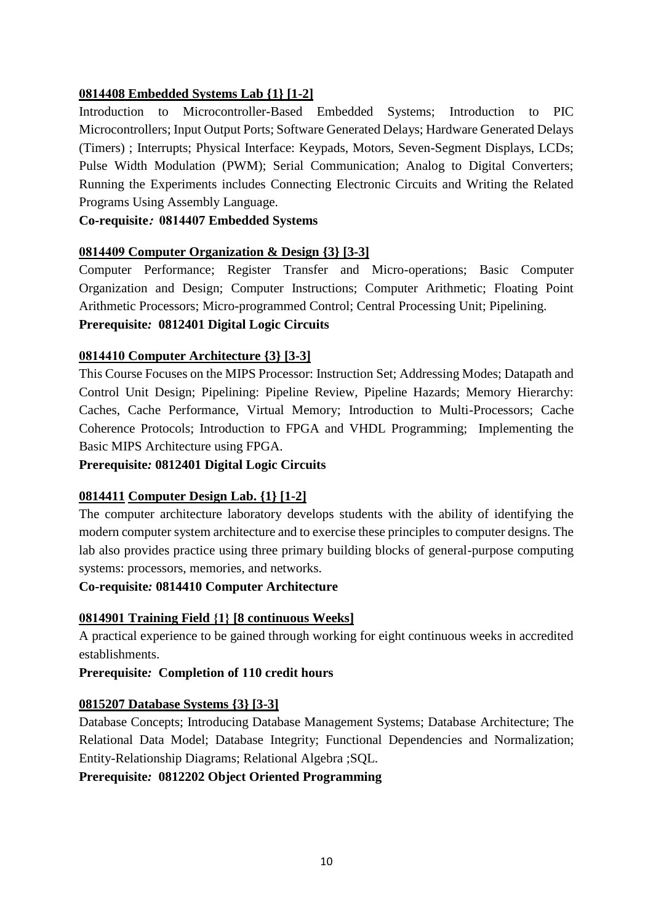# **0814408 Embedded Systems Lab {1} [1-2]**

Introduction to Microcontroller-Based Embedded Systems; Introduction to PIC Microcontrollers; Input Output Ports; Software Generated Delays; Hardware Generated Delays (Timers) ; Interrupts; Physical Interface: Keypads, Motors, Seven-Segment Displays, LCDs; Pulse Width Modulation (PWM); Serial Communication; Analog to Digital Converters; Running the Experiments includes Connecting Electronic Circuits and Writing the Related Programs Using Assembly Language.

**Co-requisite: 0814407 Embedded Systems**

### **0814409 Computer Organization & Design {3} [3-3]**

Computer Performance; Register Transfer and Micro-operations; Basic Computer Organization and Design; Computer Instructions; Computer Arithmetic; Floating Point Arithmetic Processors; Micro-programmed Control; Central Processing Unit; Pipelining.

# **Prerequisite***:* **0812401 Digital Logic Circuits**

# **0814410 Computer Architecture {3} [3-3]**

This Course Focuses on the MIPS Processor: Instruction Set; Addressing Modes; Datapath and Control Unit Design; Pipelining: Pipeline Review, Pipeline Hazards; Memory Hierarchy: Caches, Cache Performance, Virtual Memory; Introduction to Multi-Processors; Cache Coherence Protocols; Introduction to FPGA and VHDL Programming; Implementing the Basic MIPS Architecture using FPGA.

### **Prerequisite***:* **0812401 Digital Logic Circuits**

# **0814411 Computer Design Lab. {1} [1-2]**

The computer architecture laboratory develops students with the ability of identifying the modern computer system architecture and to exercise these principles to computer designs. The lab also provides practice using three primary building blocks of general-purpose computing systems: processors, memories, and networks.

### **Co-requisite***:* **0814410 Computer Architecture**

# **0814901 Training Field }1{ [8 continuous Weeks]**

A practical experience to be gained through working for eight continuous weeks in accredited establishments.

### **Prerequisite***:* **Completion of 110 credit hours**

### **0815207 Database Systems {3} [3-3]**

Database Concepts; Introducing Database Management Systems; Database Architecture; The Relational Data Model; Database Integrity; Functional Dependencies and Normalization; Entity-Relationship Diagrams; Relational Algebra ;SQL.

**Prerequisite***:* **0812202 Object Oriented Programming**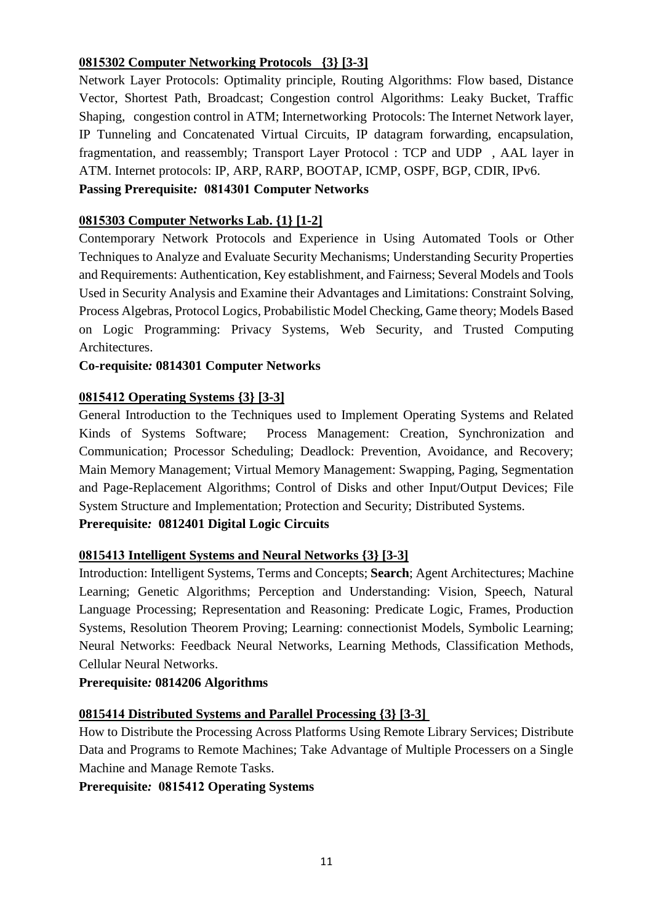# **0815302 Computer Networking Protocols {3} [3-3]**

Network Layer Protocols: Optimality principle, Routing Algorithms: Flow based, Distance Vector, Shortest Path, Broadcast; Congestion control Algorithms: Leaky Bucket, Traffic Shaping, congestion control in ATM; Internetworking Protocols: The Internet Network layer, IP Tunneling and Concatenated Virtual Circuits, IP datagram forwarding, encapsulation, fragmentation, and reassembly; Transport Layer Protocol : TCP and UDP , AAL layer in ATM. Internet protocols: IP, ARP, RARP, BOOTAP, ICMP, OSPF, BGP, CDIR, IPv6.

# **Passing Prerequisite***:* **0814301 Computer Networks**

# **0815303 Computer Networks Lab. {1} [1-2]**

Contemporary Network Protocols and Experience in Using Automated Tools or Other Techniques to Analyze and Evaluate Security Mechanisms; Understanding Security Properties and Requirements: Authentication, Key establishment, and Fairness; Several Models and Tools Used in Security Analysis and Examine their Advantages and Limitations: Constraint Solving, Process Algebras, Protocol Logics, Probabilistic Model Checking, Game theory; Models Based on Logic Programming: Privacy Systems, Web Security, and Trusted Computing Architectures.

# **Co-requisite***:* **0814301 Computer Networks**

# **0815412 Operating Systems {3} [3-3]**

General Introduction to the Techniques used to Implement Operating Systems and Related Kinds of Systems Software; Process Management: Creation, Synchronization and Communication; Processor Scheduling; Deadlock: Prevention, Avoidance, and Recovery; Main Memory Management; Virtual Memory Management: Swapping, Paging, Segmentation and Page-Replacement Algorithms; Control of Disks and other Input/Output Devices; File System Structure and Implementation; Protection and Security; Distributed Systems. **Prerequisite***:* **0812401 Digital Logic Circuits** 

# **0815413 Intelligent Systems and Neural Networks {3} [3-3]**

Introduction: Intelligent Systems, Terms and Concepts; **Search**; Agent Architectures; Machine Learning; Genetic Algorithms; Perception and Understanding: Vision, Speech, Natural Language Processing; Representation and Reasoning: Predicate Logic, Frames, Production Systems, Resolution Theorem Proving; Learning: connectionist Models, Symbolic Learning; Neural Networks: Feedback Neural Networks, Learning Methods, Classification Methods, Cellular Neural Networks.

### **Prerequisite***:* **0814206 Algorithms**

# **0815414 Distributed Systems and Parallel Processing {3} [3-3]**

How to Distribute the Processing Across Platforms Using Remote Library Services; Distribute Data and Programs to Remote Machines; Take Advantage of Multiple Processers on a Single Machine and Manage Remote Tasks.

**Prerequisite***:* **0815412 Operating Systems**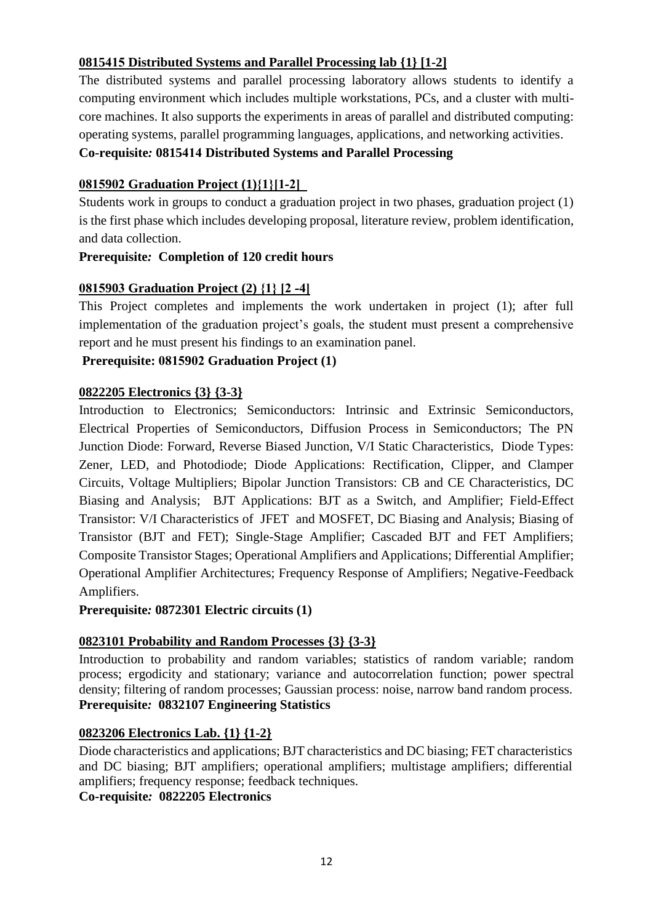# **0815415 Distributed Systems and Parallel Processing lab {1} [1-2]**

The distributed systems and parallel processing laboratory allows students to identify a computing environment which includes multiple workstations, PCs, and a cluster with multicore machines. It also supports the experiments in areas of parallel and distributed computing: operating systems, parallel programming languages, applications, and networking activities.

# **Co-requisite***:* **0815414 Distributed Systems and Parallel Processing**

# **0815902 Graduation Project (1)}1{]1-2[**

Students work in groups to conduct a graduation project in two phases, graduation project (1) is the first phase which includes developing proposal, literature review, problem identification, and data collection.

# **Prerequisite***:* **Completion of 120 credit hours**

# **0815903 Graduation Project (2) }1{ ]2 -4[**

This Project completes and implements the work undertaken in project (1); after full implementation of the graduation project's goals, the student must present a comprehensive report and he must present his findings to an examination panel.

# **Prerequisite: 0815902 Graduation Project (1)**

# **0822205 Electronics {3} {3-3}**

Introduction to Electronics; Semiconductors: Intrinsic and Extrinsic Semiconductors, Electrical Properties of Semiconductors, Diffusion Process in Semiconductors; The PN Junction Diode: Forward, Reverse Biased Junction, V/I Static Characteristics, Diode Types: Zener, LED, and Photodiode; Diode Applications: Rectification, Clipper, and Clamper Circuits, Voltage Multipliers; Bipolar Junction Transistors: CB and CE Characteristics, DC Biasing and Analysis; BJT Applications: BJT as a Switch, and Amplifier; Field-Effect Transistor: V/I Characteristics of JFET and MOSFET, DC Biasing and Analysis; Biasing of Transistor (BJT and FET); Single-Stage Amplifier; Cascaded BJT and FET Amplifiers; Composite Transistor Stages; Operational Amplifiers and Applications; Differential Amplifier; Operational Amplifier Architectures; Frequency Response of Amplifiers; Negative-Feedback Amplifiers.

**Prerequisite***:* **0872301 Electric circuits (1)**

# **0823101 Probability and Random Processes {3} {3-3}**

Introduction to probability and random variables; statistics of random variable; random process; ergodicity and stationary; variance and autocorrelation function; power spectral density; filtering of random processes; Gaussian process: noise, narrow band random process. **Prerequisite***:* **0832107 Engineering Statistics**

# **0823206 Electronics Lab. {1} {1-2}**

Diode characteristics and applications; BJT characteristics and DC biasing; FET characteristics and DC biasing; BJT amplifiers; operational amplifiers; multistage amplifiers; differential amplifiers; frequency response; feedback techniques.

**Co-requisite***:* **0822205 Electronics**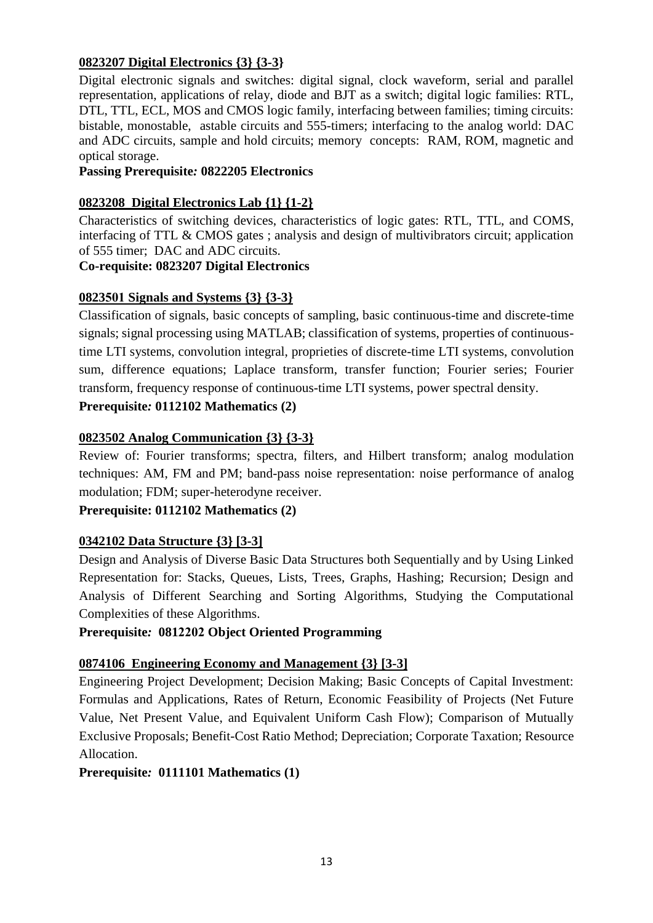# **0823207 Digital Electronics {3} {3-3}**

Digital electronic signals and switches: digital signal, clock waveform, serial and parallel representation, applications of relay, diode and BJT as a switch; digital logic families: RTL, DTL, TTL, ECL, MOS and CMOS logic family, interfacing between families; timing circuits: bistable, monostable, astable circuits and 555-timers; interfacing to the analog world: DAC and ADC circuits, sample and hold circuits; memory concepts: RAM, ROM, magnetic and optical storage.

#### **Passing Prerequisite***:* **0822205 Electronics**

#### **0823208 Digital Electronics Lab {1} {1-2}**

Characteristics of switching devices, characteristics of logic gates: RTL, TTL, and COMS, interfacing of TTL & CMOS gates ; analysis and design of multivibrators circuit; application of 555 timer; DAC and ADC circuits.

#### **Co-requisite: 0823207 Digital Electronics**

### **0823501 Signals and Systems {3} {3-3}**

Classification of signals, basic concepts of sampling, basic continuous-time and discrete-time signals; signal processing using MATLAB; classification of systems, properties of continuoustime LTI systems, convolution integral, proprieties of discrete-time LTI systems, convolution sum, difference equations; Laplace transform, transfer function; Fourier series; Fourier transform, frequency response of continuous-time LTI systems, power spectral density.

# **Prerequisite***:* **0112102 Mathematics (2)**

### **0823502 Analog Communication {3} {3-3}**

Review of: Fourier transforms; spectra, filters, and Hilbert transform; analog modulation techniques: AM, FM and PM; band-pass noise representation: noise performance of analog modulation; FDM; super-heterodyne receiver.

### **Prerequisite: 0112102 Mathematics (2)**

### **0342102 Data Structure {3} [3-3]**

Design and Analysis of Diverse Basic Data Structures both Sequentially and by Using Linked Representation for: Stacks, Queues, Lists, Trees, Graphs, Hashing; Recursion; Design and Analysis of Different Searching and Sorting Algorithms, Studying the Computational Complexities of these Algorithms.

#### **Prerequisite***:* **0812202 Object Oriented Programming**

### **0874106 Engineering Economy and Management {3} [3-3]**

Engineering Project Development; Decision Making; Basic Concepts of Capital Investment: Formulas and Applications, Rates of Return, Economic Feasibility of Projects (Net Future Value, Net Present Value, and Equivalent Uniform Cash Flow); Comparison of Mutually Exclusive Proposals; Benefit-Cost Ratio Method; Depreciation; Corporate Taxation; Resource Allocation.

### **Prerequisite***:* **0111101 Mathematics (1)**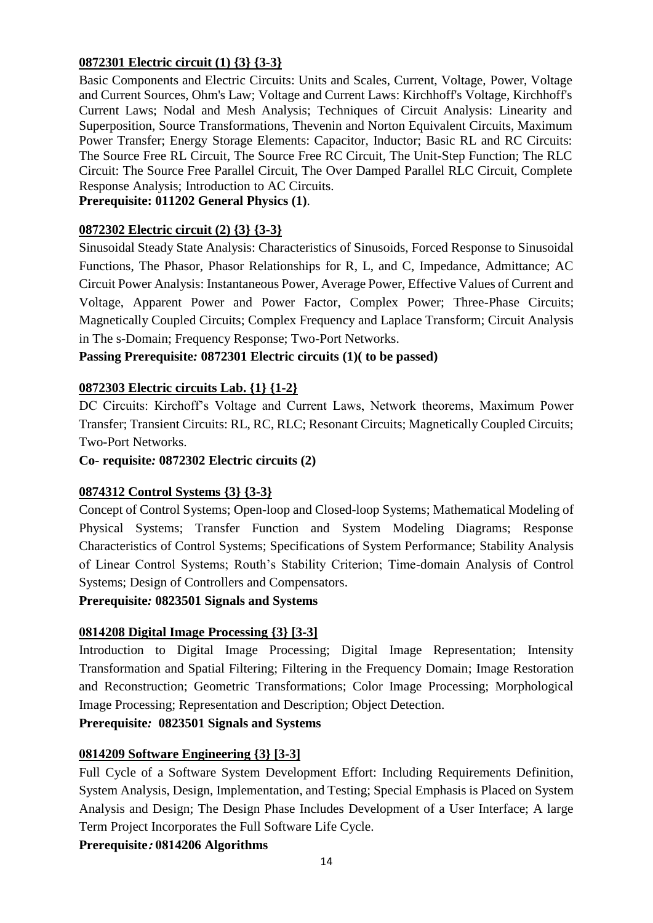# **0872301 Electric circuit (1) {3} {3-3}**

Basic Components and Electric Circuits: Units and Scales, Current, Voltage, Power, Voltage and Current Sources, Ohm's Law; Voltage and Current Laws: Kirchhoff's Voltage, Kirchhoff's Current Laws; Nodal and Mesh Analysis; Techniques of Circuit Analysis: Linearity and Superposition, Source Transformations, Thevenin and Norton Equivalent Circuits, Maximum Power Transfer; Energy Storage Elements: Capacitor, Inductor; Basic RL and RC Circuits: The Source Free RL Circuit, The Source Free RC Circuit, The Unit-Step Function; The RLC Circuit: The Source Free Parallel Circuit, The Over Damped Parallel RLC Circuit, Complete Response Analysis; Introduction to AC Circuits.

# **Prerequisite: 011202 General Physics (1)**.

### **0872302 Electric circuit (2) {3} {3-3}**

Sinusoidal Steady State Analysis: Characteristics of Sinusoids, Forced Response to Sinusoidal Functions, The Phasor, Phasor Relationships for R, L, and C, Impedance, Admittance; AC Circuit Power Analysis: Instantaneous Power, Average Power, Effective Values of Current and Voltage, Apparent Power and Power Factor, Complex Power; Three-Phase Circuits; Magnetically Coupled Circuits; Complex Frequency and Laplace Transform; Circuit Analysis in The s-Domain; Frequency Response; Two-Port Networks.

### **Passing Prerequisite***:* **0872301 Electric circuits (1)( to be passed)**

### **0872303 Electric circuits Lab. {1} {1-2}**

DC Circuits: Kirchoff's Voltage and Current Laws, Network theorems, Maximum Power Transfer; Transient Circuits: RL, RC, RLC; Resonant Circuits; Magnetically Coupled Circuits; Two-Port Networks.

**Co- requisite***:* **0872302 Electric circuits (2)** 

### **0874312 Control Systems {3} {3-3}**

Concept of Control Systems; Open-loop and Closed-loop Systems; Mathematical Modeling of Physical Systems; Transfer Function and System Modeling Diagrams; Response Characteristics of Control Systems; Specifications of System Performance; Stability Analysis of Linear Control Systems; Routh's Stability Criterion; Time-domain Analysis of Control Systems; Design of Controllers and Compensators.

### **Prerequisite***:* **0823501 Signals and Systems**

### **0814208 Digital Image Processing {3} [3-3]**

Introduction to Digital Image Processing; Digital Image Representation; Intensity Transformation and Spatial Filtering; Filtering in the Frequency Domain; Image Restoration and Reconstruction; Geometric Transformations; Color Image Processing; Morphological Image Processing; Representation and Description; Object Detection.

### **Prerequisite***:* **0823501 Signals and Systems**

### **0814209 Software Engineering {3} [3-3]**

Full Cycle of a Software System Development Effort: Including Requirements Definition, System Analysis, Design, Implementation, and Testing; Special Emphasis is Placed on System Analysis and Design; The Design Phase Includes Development of a User Interface; A large Term Project Incorporates the Full Software Life Cycle.

### **Prerequisite: 0814206 Algorithms**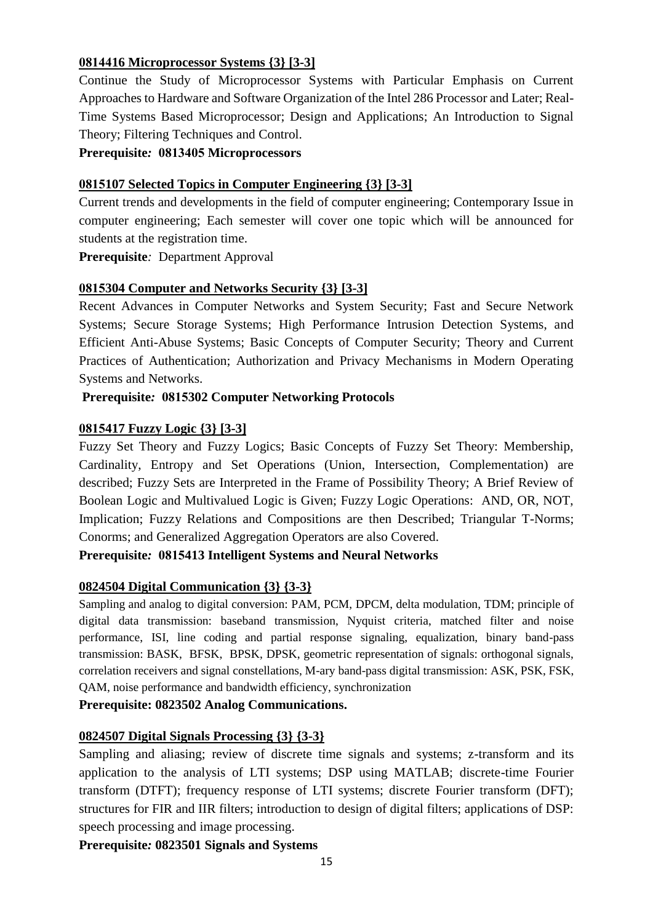# **0814416 Microprocessor Systems {3} [3-3]**

Continue the Study of Microprocessor Systems with Particular Emphasis on Current Approaches to Hardware and Software Organization of the Intel 286 Processor and Later; Real-Time Systems Based Microprocessor; Design and Applications; An Introduction to Signal Theory; Filtering Techniques and Control.

**Prerequisite***:* **0813405 Microprocessors** 

### **0815107 Selected Topics in Computer Engineering {3} [3-3]**

Current trends and developments in the field of computer engineering; Contemporary Issue in computer engineering; Each semester will cover one topic which will be announced for students at the registration time.

**Prerequisite***:* Department Approval

# **0815304 Computer and Networks Security {3} [3-3]**

Recent Advances in Computer Networks and System Security; Fast and Secure Network Systems; Secure Storage Systems; High Performance Intrusion Detection Systems, and Efficient Anti-Abuse Systems; Basic Concepts of Computer Security; Theory and Current Practices of Authentication; Authorization and Privacy Mechanisms in Modern Operating Systems and Networks.

# **Prerequisite***:* **0815302 Computer Networking Protocols**

# **0815417 Fuzzy Logic {3} [3-3]**

Fuzzy Set Theory and Fuzzy Logics; Basic Concepts of Fuzzy Set Theory: Membership, Cardinality, Entropy and Set Operations (Union, Intersection, Complementation) are described; Fuzzy Sets are Interpreted in the Frame of Possibility Theory; A Brief Review of Boolean Logic and Multivalued Logic is Given; Fuzzy Logic Operations: AND, OR, NOT, Implication; Fuzzy Relations and Compositions are then Described; Triangular T-Norms; Conorms; and Generalized Aggregation Operators are also Covered.

**Prerequisite***:* **0815413 Intelligent Systems and Neural Networks**

# **0824504 Digital Communication {3} {3-3}**

Sampling and analog to digital conversion: PAM, PCM, DPCM, delta modulation, TDM; principle of digital data transmission: baseband transmission, Nyquist criteria, matched filter and noise performance, ISI, line coding and partial response signaling, equalization, binary band-pass transmission: BASK, BFSK, BPSK, DPSK, geometric representation of signals: orthogonal signals, correlation receivers and signal constellations, M-ary band-pass digital transmission: ASK, PSK, FSK, QAM, noise performance and bandwidth efficiency, synchronization

### **Prerequisite: 0823502 Analog Communications.**

### **0824507 Digital Signals Processing {3} {3-3}**

Sampling and aliasing; review of discrete time signals and systems; z-transform and its application to the analysis of LTI systems; DSP using MATLAB; discrete-time Fourier transform (DTFT); frequency response of LTI systems; discrete Fourier transform (DFT); structures for FIR and IIR filters; introduction to design of digital filters; applications of DSP: speech processing and image processing.

**Prerequisite***:* **0823501 Signals and Systems**